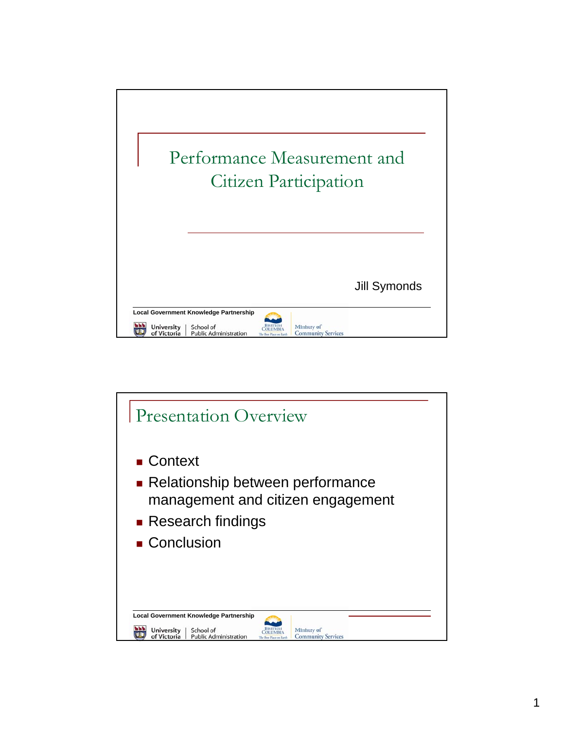

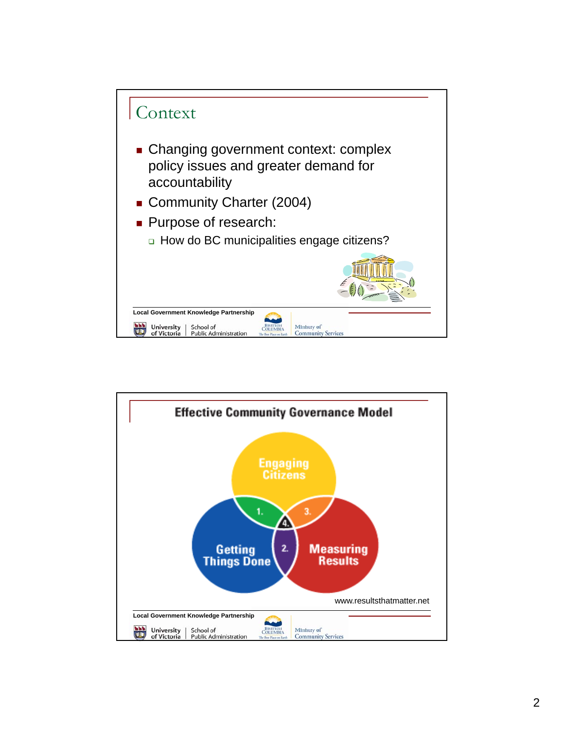

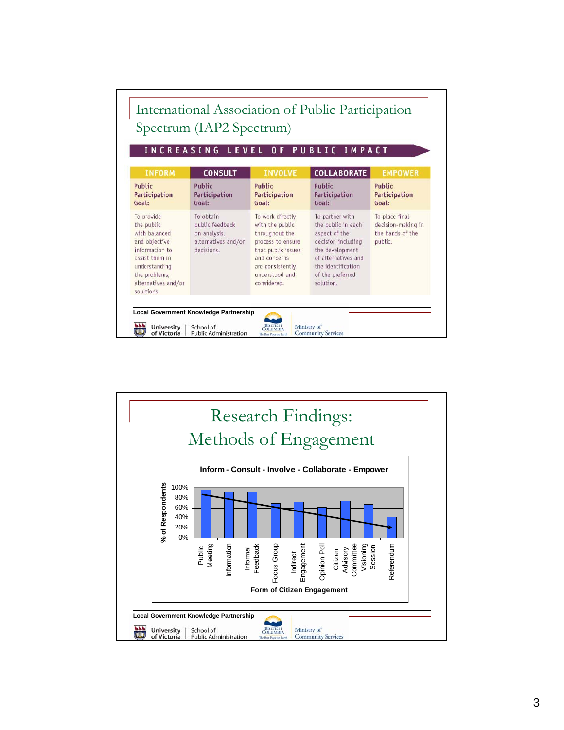| INCREASING LEVEL<br><b>PUBLIC IMPACT</b><br>0 F                                                                                                                       |                                                                                   |                                                                                                                                                                        |                                                                                                                                                                               |                                                                     |
|-----------------------------------------------------------------------------------------------------------------------------------------------------------------------|-----------------------------------------------------------------------------------|------------------------------------------------------------------------------------------------------------------------------------------------------------------------|-------------------------------------------------------------------------------------------------------------------------------------------------------------------------------|---------------------------------------------------------------------|
| <b>INFORM</b>                                                                                                                                                         | <b>CONSULT</b>                                                                    | <b>INVOLVE</b>                                                                                                                                                         | <b>COLLABORATE</b>                                                                                                                                                            | <b>EMPOWER</b>                                                      |
| Public<br>Participation<br>Goal:                                                                                                                                      | Public<br><b>Participation</b><br>Goal:                                           | Public<br>Participation<br>Goal:                                                                                                                                       | Public<br>Participation<br>Goal:                                                                                                                                              | Public<br>Participation<br>Goal:                                    |
| To provide<br>the public<br>with balanced<br>and objective<br>information to<br>assist them in<br>understanding<br>the problems,<br>alternatives and/or<br>solutions. | To obtain<br>public feedback<br>on analysis,<br>alternatives and/or<br>decisions. | To work directly<br>with the public<br>throughout the<br>process to ensure<br>that public issues<br>and concerns.<br>are consistently<br>understood and<br>considered. | To partner with<br>the public in each<br>aspect of the<br>decision including<br>the development<br>of alternatives and<br>the identification<br>of the preferred<br>solution. | To place final<br>decision-making in<br>the hands of the<br>public. |

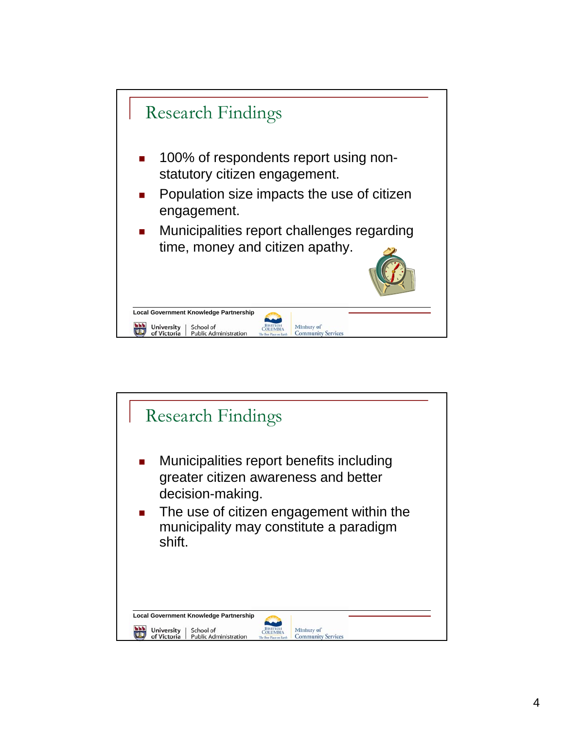